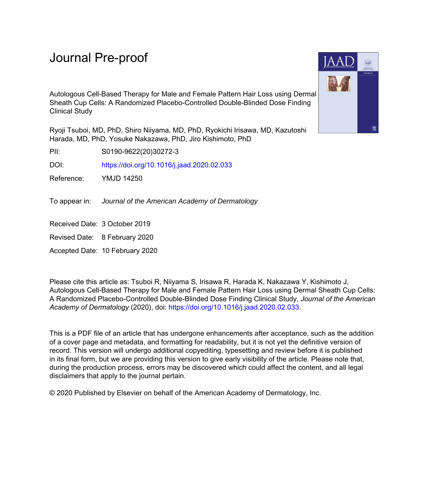## Journal Pre-proof

Autologous Cell-Based Therapy for Male and Female Pattern Hair Loss using Dermal Sheath Cup Cells: A Randomized Placebo-Controlled Double-Blinded Dose Finding Clinical Study

Ryoji Tsuboi, MD, PhD, Shiro Niiyama, MD, PhD, Ryokichi Irisawa, MD, Kazutoshi Harada, MD, PhD, Yosuke Nakazawa, PhD, Jiro Kishimoto, PhD

PII: S0190-9622(20)30272-3

DOI: <https://doi.org/10.1016/j.jaad.2020.02.033>

Reference: YMJD 14250

To appear in: Journal of the American Academy of Dermatology

Received Date: 3 October 2019

Revised Date: 8 February 2020

Accepted Date: 10 February 2020

Please cite this article as: Tsuboi R, Niiyama S, Irisawa R, Harada K, Nakazawa Y, Kishimoto J, Autologous Cell-Based Therapy for Male and Female Pattern Hair Loss using Dermal Sheath Cup Cells: A Randomized Placebo-Controlled Double-Blinded Dose Finding Clinical Study, *Journal of the American Academy of Dermatology* (2020), doi: [https://doi.org/10.1016/j.jaad.2020.02.033.](https://doi.org/10.1016/j.jaad.2020.02.033)

This is a PDF file of an article that has undergone enhancements after acceptance, such as the addition of a cover page and metadata, and formatting for readability, but it is not yet the definitive version of record. This version will undergo additional copyediting, typesetting and review before it is published in its final form, but we are providing this version to give early visibility of the article. Please note that, during the production process, errors may be discovered which could affect the content, and all legal disclaimers that apply to the journal pertain.

© 2020 Published by Elsevier on behalf of the American Academy of Dermatology, Inc.

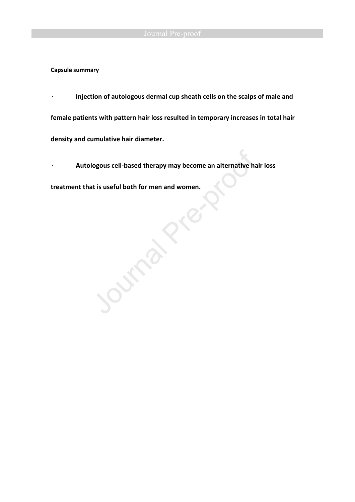**Capsule summary** 

͌ **Injection of autologous dermal cup sheath cells on the scalps of male and female patients with pattern hair loss resulted in temporary increases in total hair density and cumulative hair diameter.** 

͌ **Autologous cell-based therapy may become an alternative hair loss** 

**treatment that is useful both for men and women.**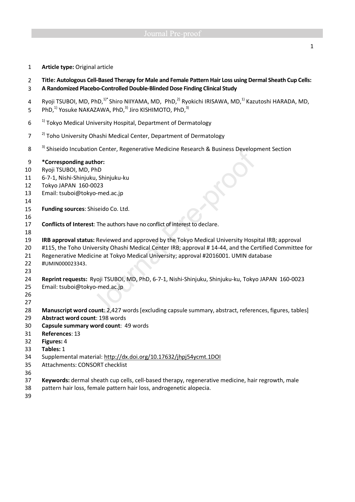1 **Article type:** Original article

## 2 **Title: Autologous Cell-Based Therapy for Male and Female Pattern Hair Loss using Dermal Sheath Cup Cells:**

- 3 **A Randomized Placebo-Controlled Double-Blinded Dose Finding Clinical Study**
- 4 Ryoji TSUBOI, MD, PhD,<sup>1)\*</sup> Shiro NIIYAMA, MD, PhD,<sup>2)</sup> Ryokichi IRISAWA, MD,<sup>1)</sup> Kazutoshi HARADA, MD,
- 5 PhD, $^{1}$  Yosuke NAKAZAWA, PhD, $^{3}$  Jiro KISHIMOTO, PhD, $^{3}$ )
- $10<sup>-1</sup>$  Tokyo Medical University Hospital, Department of Dermatology
- <sup>2)</sup> Toho University Ohashi Medical Center, Department of Dermatology
- 8 <sup>3)</sup> Shiseido Incubation Center, Regenerative Medicine Research & Business Development Section

## 9 **\*Corresponding author:**

- 10 Ryoji TSUBOI, MD, PhD
- 11 6-7-1, Nishi-Shinjuku, Shinjuku-ku
- 12 Tokyo JAPAN 160-0023
- 13 Email: tsuboi@tokyo-med.ac.jp
- 14
- 15 **Funding sources**: Shiseido Co. Ltd.
- 17 **Conflicts of Interest**: The authors have no conflict of interest to declare.
- 18

16

19 **IRB approval status:** Reviewed and approved by the Tokyo Medical University Hospital IRB; approval

- 20 #115, the Toho University Ohashi Medical Center IRB; approval # 14-44, and the Certified Committee for
- 21 Regenerative Medicine at Tokyo Medical University; approval #2016001. UMIN database
- 22 #UMIN000023343.
- 23

24 **Reprint requests:** Ryoji TSUBOI, MD, PhD, 6-7-1, Nishi-Shinjuku, Shinjuku-ku, Tokyo JAPAN 160-0023 25 Email: tsuboi@tokyo-med.ac.jp

- 26
- 27

28 **Manuscript word count**: 2,427 words [excluding capsule summary, abstract, references, figures, tables]

- 29 **Abstract word count**: 198 words
- 30 **Capsule summary word count**: 49 words
- 31 **References**: 13
- 32 **Figures:** 4
- 33 **Tables:** 1
- 34 Supplemental material: http://dx.doi.org/10.17632/jhpj54ycmt.1DOI
- 35 Attachments: CONSORT checklist
- 36
- 37 **Keywords:** dermal sheath cup cells, cell-based therapy, regenerative medicine, hair regrowth, male
- 38 pattern hair loss, female pattern hair loss, androgenetic alopecia.
- 39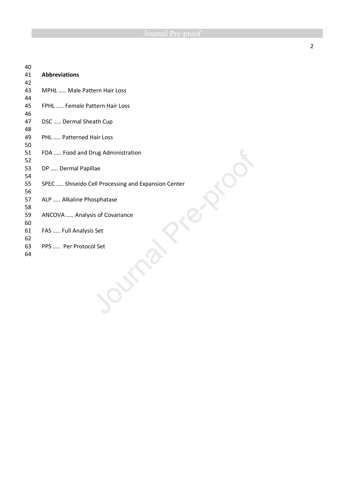| 40 |                                                     |  |  |  |  |
|----|-----------------------------------------------------|--|--|--|--|
| 41 | <b>Abbreviations</b>                                |  |  |  |  |
| 42 |                                                     |  |  |  |  |
| 43 | MPHL  Male Pattern Hair Loss                        |  |  |  |  |
| 44 |                                                     |  |  |  |  |
| 45 | FPHL  Female Pattern Hair Loss                      |  |  |  |  |
| 46 |                                                     |  |  |  |  |
| 47 | DSC  Dermal Sheath Cup                              |  |  |  |  |
| 48 |                                                     |  |  |  |  |
| 49 | PHL  Patterned Hair Loss                            |  |  |  |  |
| 50 |                                                     |  |  |  |  |
| 51 | FDA  Food and Drug Administration                   |  |  |  |  |
| 52 |                                                     |  |  |  |  |
| 53 | DP  Dermal Papillae                                 |  |  |  |  |
| 54 |                                                     |  |  |  |  |
| 55 | SPEC  Shiseido Cell Processing and Expansion Center |  |  |  |  |
| 56 |                                                     |  |  |  |  |
| 57 | ALP  Alkaline Phosphatase                           |  |  |  |  |
| 58 |                                                     |  |  |  |  |
| 59 | ANCOVA  Analysis of Covariance                      |  |  |  |  |
| 60 |                                                     |  |  |  |  |
| 61 | FAS  Full Analysis Set                              |  |  |  |  |
| 62 |                                                     |  |  |  |  |
| 63 | PPS  Per Protocol Set                               |  |  |  |  |
| 64 |                                                     |  |  |  |  |
|    |                                                     |  |  |  |  |
|    |                                                     |  |  |  |  |
|    |                                                     |  |  |  |  |
|    |                                                     |  |  |  |  |
|    |                                                     |  |  |  |  |
|    |                                                     |  |  |  |  |
|    |                                                     |  |  |  |  |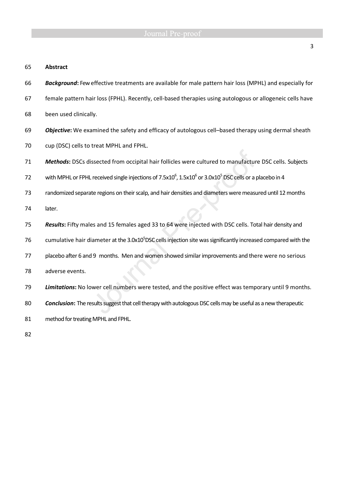### 65 **Abstract**

- 66 *Background***:** Feweffective treatments are available for male pattern hair loss (MPHL) and especially for
- 67 female pattern hair loss (FPHL). Recently, cell-based therapies using autologous or allogeneic cells have
- 68 been used clinically.
- 69 *Objective***:** We examined the safety and efficacy of autologous cell–based therapy using dermal sheath
- 70 cup (DSC) cells to treat MPHL and FPHL.
- 71 *Methods***:** DSCs dissected from occipital hair follicles were cultured to manufacture DSC cells. Subjects
- 72 with MPHL or FPHL received single injections of 7.5x10<sup>6</sup>, 1.5x10<sup>6</sup> or 3.0x10<sup>5</sup> DSC cells or a placebo in 4
- 73 randomized separate regions on their scalp, and hair densities and diameters were measured until 12 months

74 later.

- 75 *Results***:** Fifty males and 15 females aged 33 to 64 were injected with DSC cells. Total hair density and
- 76 cumulative hair diameter at the 3.0x10<sup>5</sup>DSC cells injection site was significantly increased compared with the
- 77 placebo after 6 and 9 months. Men and women showed similar improvements and there were no serious
- 78 adverse events.
- 79 *Limitations***:** No lower cell numbers were tested, and the positive effect was temporary until 9 months.
- 80 *Conclusion***:** The results suggest that cell therapy with autologous DSC cells may be useful as a new therapeutic
- 81 method for treating MPHL and FPHL.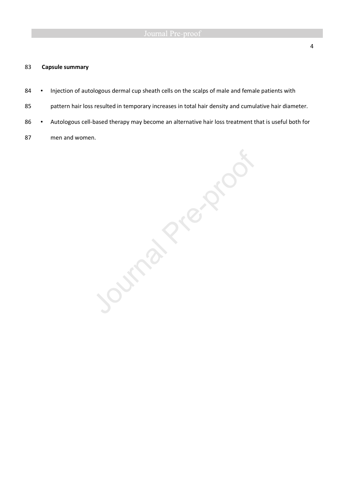### 83 **Capsule summary**

- 84 Injection of autologous dermal cup sheath cells on the scalps of male and female patients with
- 85 pattern hair loss resulted in temporary increases in total hair density and cumulative hair diameter.
- 
- 87 men and women.

86 • Autologous cell-based therapy may become an alternative hair loss treatment that is useful both for<br>men and women.<br>By a control of the control of the control of the control of the control of the control of the control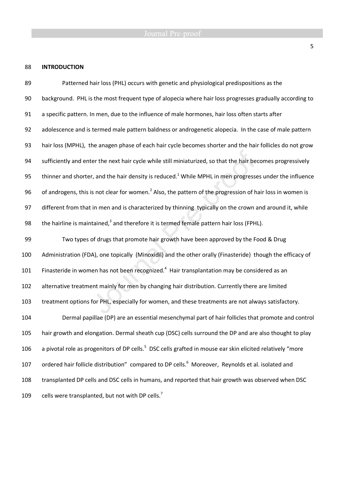### 88 **INTRODUCTION**

89 Patterned hair loss (PHL) occurs with genetic and physiological predispositions as the 90 background. PHL is the most frequent type of alopecia where hair loss progresses gradually according to 91 a specific pattern. In men, due to the influence of male hormones, hair loss often starts after 92 adolescence and is termed male pattern baldness or androgenetic alopecia. In the case of male pattern 93 hair loss (MPHL), the anagen phase of each hair cycle becomes shorter and the hair follicles do not grow 94 sufficiently and enter the next hair cycle while still miniaturized, so that the hair becomes progressively 95 thinner and shorter, and the hair density is reduced.<sup>1</sup> While MPHL in men progresses under the influence 96 of androgens, this is not clear for women.<sup>2</sup> Also, the pattern of the progression of hair loss in women is 97 different from that in men and is characterized by thinning typically on the crown and around it, while 98 the hairline is maintained, $3$  and therefore it is termed female pattern hair loss (FPHL). 99 Two types of drugs that promote hair growth have been approved by the Food & Drug 100 Administration (FDA), one topically (Minoxidil) and the other orally (Finasteride) though the efficacy of 101 Finasteride in women has not been recognized.<sup>4</sup> Hair transplantation may be considered as an 102 alternative treatment mainly for men by changing hair distribution. Currently there are limited 103 treatment options for PHL, especially for women, and these treatments are not always satisfactory. 104 Dermal papillae (DP) are an essential mesenchymal part of hair follicles that promote and control 105 hair growth and elongation. Dermal sheath cup (DSC) cells surround the DP and are also thought to play 106 a pivotal role as progenitors of DP cells.<sup>5</sup> DSC cells grafted in mouse ear skin elicited relatively "more 107 ordered hair follicle distribution" compared to DP cells. $^6$  Moreover, Reynolds et al. isolated and 108 transplanted DP cells and DSC cells in humans, and reported that hair growth was observed when DSC cells were transplanted, but not with DP cells. $<sup>7</sup>$ </sup> 109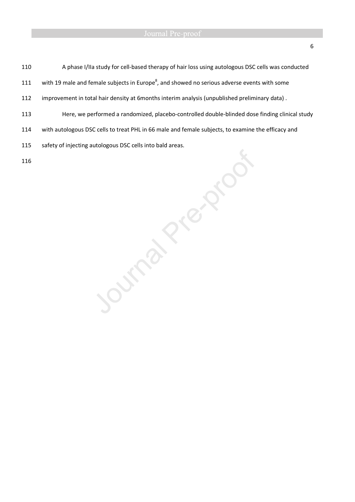110 A phase I/IIa study for cell-based therapy of hair loss using autologous DSC cells was conducted

111 with 19 male and female subjects in Europe<sup>8</sup>, and showed no serious adverse events with some

- 112 improvement in total hair density at 6months interim analysis (unpublished preliminary data) .
- 
- 114 with autologous DSC cells to treat PHL in 66 male and female subjects, to examine the efficacy and

115 safety of injecting autologous DSC cells into bald areas.

113 Here, we performed a randomized, placebo-controlled double-blinded dose finding clinical study<br>
114 with autologous DSC cells into bald areas.<br>
115 Safety of injecting autologous DSC cells into bald areas.<br>
116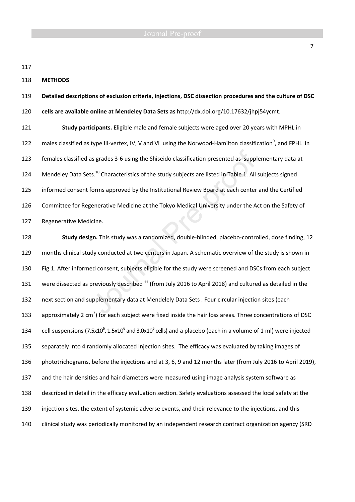118 **METHODS** 

119 **Detailed descriptions of exclusion criteria, injections, DSC dissection procedures and the culture of DSC**  120 **cells are available online at Mendeley Data Sets as** http://dx.doi.org/10.17632/jhpj54ycmt. 121 **Study participants.** Eligible male and female subjects were aged over 20 years with MPHL in 122 males classified as type III-vertex, IV, V and VI using the Norwood-Hamilton classification<sup>9</sup>, and FPHL in 123 females classified as grades 3-6 using the Shiseido classification presented as supplementary data at 124 Mendeley Data Sets.<sup>10</sup> Characteristics of the study subjects are listed in Table 1. All subjects signed

125 informed consent forms approved by the Institutional Review Board at each center and the Certified 126 Committee for Regenerative Medicine at the Tokyo Medical University under the Act on the Safety of 127 Regenerative Medicine.

128 **Study design.** This study was a randomized, double-blinded, placebo-controlled, dose finding, 12 129 months clinical study conducted at two centers in Japan. A schematic overview of the study is shown in 130 Fig.1. After informed consent, subjects eligible for the study were screened and DSCs from each subject 131 were dissected as previously described <sup>11</sup> (from July 2016 to April 2018) and cultured as detailed in the 132 next section and supplementary data at Mendelely Data Sets . Four circular injection sites (each 133 approximately 2 cm<sup>2</sup>) for each subject were fixed inside the hair loss areas. Three concentrations of DSC 134 cell suspensions (7.5x10<sup>6</sup>, 1.5x10<sup>6</sup> and 3.0x10<sup>5</sup> cells) and a placebo (each in a volume of 1 ml) were injected 135 separately into 4 randomly allocated injection sites. The efficacy was evaluated by taking images of 136 phototrichograms, before the injections and at 3, 6, 9 and 12 months later (from July 2016 to April 2019), 137 and the hair densities and hair diameters were measured using image analysis system software as 138 described in detail in the efficacy evaluation section. Safety evaluations assessed the local safety at the 139 injection sites, the extent of systemic adverse events, and their relevance to the injections, and this 140 clinical study was periodically monitored by an independent research contract organization agency (SRD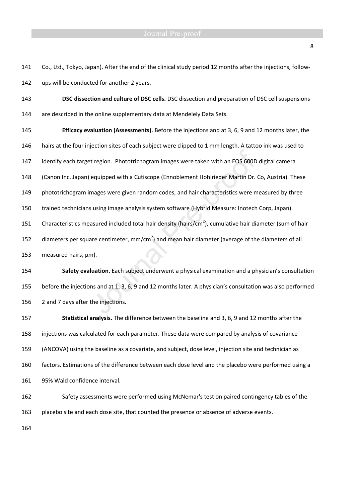141 Co., Ltd., Tokyo, Japan). After the end of the clinical study period 12 months after the injections, follow-142 ups will be conducted for another 2 years.

143 **DSC dissection and culture of DSC cells.** DSC dissection and preparation of DSC cell suspensions 144 are described in the online supplementary data at Mendelely Data Sets.

145 **Efficacy evaluation (Assessments).** Before the injections and at 3, 6, 9 and 12 months later, the 146 hairs at the four injection sites of each subject were clipped to 1 mm length. A tattoo ink was used to 147 identify each target region. Phototrichogram images were taken with an EOS 600D digital camera 148 (Canon Inc, Japan) equipped with a Cutiscope (Ennoblement Hohlrieder Martin Dr. Co, Austria). These 149 phototrichogram images were given random codes, and hair characteristics were measured by three 150 trained technicians using image analysis system software (Hybrid Measure: Inotech Corp, Japan). 151 Characteristics measured included total hair density (hairs/cm<sup>2</sup>), cumulative hair diameter (sum of hair 152 diameters per square centimeter, mm/cm<sup>2</sup>) and mean hair diameter (average of the diameters of all

153 measured hairs,  $\mu$ m).

154 **Safety evaluation.** Each subject underwent a physical examination and a physician's consultation 155 before the injections and at 1, 3, 6, 9 and 12 months later. A physician's consultation was also performed 156 2 and 7 days after the injections.

157 **Statistical analysis.** The difference between the baseline and 3, 6, 9 and 12 months after the 158 injections was calculated for each parameter. These data were compared by analysis of covariance 159 (ANCOVA) using the baseline as a covariate, and subject, dose level, injection site and technician as 160 factors. Estimations of the difference between each dose level and the placebo were performed using a 161 95% Wald confidence interval.

162 Safety assessments were performed using McNemar's test on paired contingency tables of the 163 placebo site and each dose site, that counted the presence or absence of adverse events.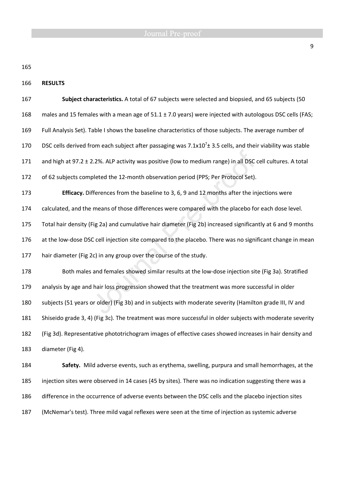166 **RESULTS** 

| 167 | Subject characteristics. A total of 67 subjects were selected and biopsied, and 65 subjects (50                  |  |  |  |
|-----|------------------------------------------------------------------------------------------------------------------|--|--|--|
| 168 | males and 15 females with a mean age of 51.1 ± 7.0 years) were injected with autologous DSC cells (FAS;          |  |  |  |
| 169 | Full Analysis Set). Table I shows the baseline characteristics of those subjects. The average number of          |  |  |  |
| 170 | DSC cells derived from each subject after passaging was $7.1x10^7 \pm 3.5$ cells, and their viability was stable |  |  |  |
| 171 | and high at 97.2 ± 2.2%. ALP activity was positive (low to medium range) in all DSC cell cultures. A total       |  |  |  |
| 172 | of 62 subjects completed the 12-month observation period (PPS; Per Protocol Set).                                |  |  |  |
| 173 | Efficacy. Differences from the baseline to 3, 6, 9 and 12 months after the injections were                       |  |  |  |
| 174 | calculated, and the means of those differences were compared with the placebo for each dose level.               |  |  |  |
| 175 | Total hair density (Fig 2a) and cumulative hair diameter (Fig 2b) increased significantly at 6 and 9 months      |  |  |  |
| 176 | at the low-dose DSC cell injection site compared to the placebo. There was no significant change in mean         |  |  |  |
| 177 | hair diameter (Fig 2c) in any group over the course of the study.                                                |  |  |  |
| 178 | Both males and females showed similar results at the low-dose injection site (Fig 3a). Stratified                |  |  |  |
| 179 | analysis by age and hair loss progression showed that the treatment was more successful in older                 |  |  |  |
| 180 | subjects (51 years or older) (Fig 3b) and in subjects with moderate severity (Hamilton grade III, IV and         |  |  |  |
| 181 | Shiseido grade 3, 4) (Fig 3c). The treatment was more successful in older subjects with moderate severity        |  |  |  |
| 182 | (Fig 3d). Representative phototrichogram images of effective cases showed increases in hair density and          |  |  |  |
| 183 | diameter (Fig 4).                                                                                                |  |  |  |
| 184 | Safety. Mild adverse events, such as erythema, swelling, purpura and small hemorrhages, at the                   |  |  |  |

185 injection sites were observed in 14 cases (45 by sites). There was no indication suggesting there was a 186 difference in the occurrence of adverse events between the DSC cells and the placebo injection sites 187 (McNemar's test). Three mild vagal reflexes were seen at the time of injection as systemic adverse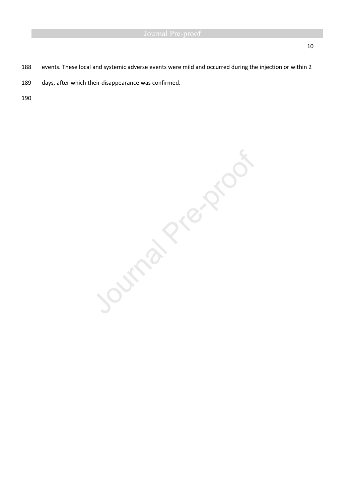- 188 events. These local and systemic adverse events were mild and occurred during the injection or within 2
- 189 days, after which their disappearance was confirmed.

Journal Prezencor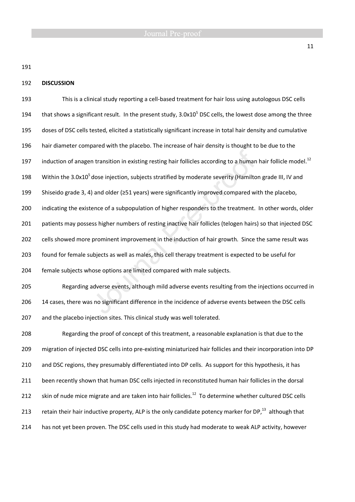## 192 **DISCUSSION**

193 This is a clinical study reporting a cell-based treatment for hair loss using autologous DSC cells 194 that shows a significant result. In the present study,  $3.0x10<sup>5</sup>$  DSC cells, the lowest dose among the three 195 doses of DSC cells tested, elicited a statistically significant increase in total hair density and cumulative 196 hair diameter compared with the placebo. The increase of hair density is thought to be due to the 197 induction of anagen transition in existing resting hair follicles according to a human hair follicle model.<sup>12</sup> 198 Within the 3.0x10<sup>5</sup> dose injection, subjects stratified by moderate severity (Hamilton grade III, IV and 199 Shiseido grade 3, 4) and older (≥51 years) were significantly improved compared with the placebo, 200 indicating the existence of a subpopulation of higher responders to the treatment. In other words, older 201 patients may possess higher numbers of resting inactive hair follicles (telogen hairs) so that injected DSC 202 cells showed more prominent improvement in the induction of hair growth. Since the same result was 203 found for female subjects as well as males, this cell therapy treatment is expected to be useful for 204 female subjects whose options are limited compared with male subjects. 205 Regarding adverse events, although mild adverse events resulting from the injections occurred in 206 14 cases, there was no significant difference in the incidence of adverse events between the DSC cells 207 and the placebo injection sites. This clinical study was well tolerated. 208 Regarding the proof of concept of this treatment, a reasonable explanation is that due to the 209 migration of injected DSC cells into pre-existing miniaturized hair follicles and their incorporation into DP 210 and DSC regions, they presumably differentiated into DP cells. As support for this hypothesis, it has

211 been recently shown that human DSC cells injected in reconstituted human hair follicles in the dorsal

- 212 skin of nude mice migrate and are taken into hair follicles.<sup>12</sup> To determine whether cultured DSC cells
- 213 retain their hair inductive property, ALP is the only candidate potency marker for DP, $^{13}$  although that
- 214 has not yet been proven. The DSC cells used in this study had moderate to weak ALP activity, however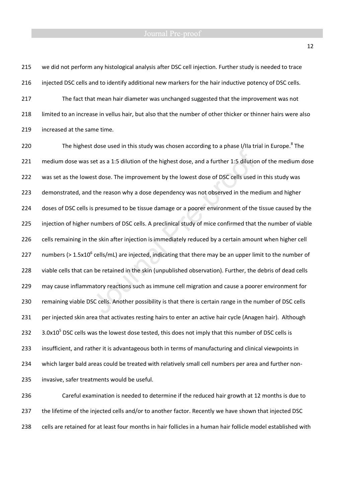215 we did not perform any histological analysis after DSC cell injection. Further study is needed to trace 216 injected DSC cells and to identify additional new markers for the hair inductive potency of DSC cells. 217 The fact that mean hair diameter was unchanged suggested that the improvement was not 218 limited to an increase in vellus hair, but also that the number of other thicker or thinner hairs were also 219 increased at the same time.

220 The highest dose used in this study was chosen according to a phase I/IIa trial in Europe.<sup>8</sup> The 221 medium dose was set as a 1:5 dilution of the highest dose, and a further 1:5 dilution of the medium dose 222 was set as the lowest dose. The improvement by the lowest dose of DSC cells used in this study was 223 demonstrated, and the reason why a dose dependency was not observed in the medium and higher 224 doses of DSC cells is presumed to be tissue damage or a poorer environment of the tissue caused by the 225 injection of higher numbers of DSC cells. A preclinical study of mice confirmed that the number of viable 226 cells remaining in the skin after injection is immediately reduced by a certain amount when higher cell 227 numbers (> 1.5x10<sup>6</sup> cells/mL) are injected, indicating that there may be an upper limit to the number of 228 viable cells that can be retained in the skin (unpublished observation). Further, the debris of dead cells 229 may cause inflammatory reactions such as immune cell migration and cause a poorer environment for 230 remaining viable DSC cells. Another possibility is that there is certain range in the number of DSC cells 231 per injected skin area that activates resting hairs to enter an active hair cycle (Anagen hair). Although 232  $3.0x10<sup>5</sup>$  DSC cells was the lowest dose tested, this does not imply that this number of DSC cells is 233 insufficient, and rather it is advantageous both in terms of manufacturing and clinical viewpoints in 234 which larger bald areas could be treated with relatively small cell numbers per area and further non-235 invasive, safer treatments would be useful.

236 Careful examination is needed to determine if the reduced hair growth at 12 months is due to 237 the lifetime of the injected cells and/or to another factor. Recently we have shown that injected DSC 238 cells are retained for at least four months in hair follicles in a human hair follicle model established with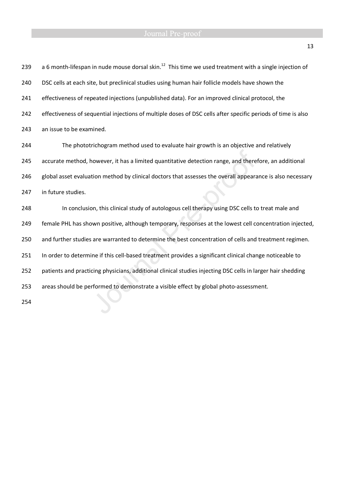## Journal Pre-proof

| a 6 month-lifespan in nude mouse dorsal skin. <sup>12</sup> This time we used treatment with a single injection of |
|--------------------------------------------------------------------------------------------------------------------|
| DSC cells at each site, but preclinical studies using human hair follicle models have shown the                    |
| effectiveness of repeated injections (unpublished data). For an improved clinical protocol, the                    |
| effectiveness of sequential injections of multiple doses of DSC cells after specific periods of time is also       |
| an issue to be examined.                                                                                           |
| The phototrichogram method used to evaluate hair growth is an objective and relatively                             |
| accurate method, however, it has a limited quantitative detection range, and therefore, an additional              |
| global asset evaluation method by clinical doctors that assesses the overall appearance is also necessary          |
| in future studies.                                                                                                 |
| In conclusion, this clinical study of autologous cell therapy using DSC cells to treat male and                    |
| female PHL has shown positive, although temporary, responses at the lowest cell concentration injected,            |
| and further studies are warranted to determine the best concentration of cells and treatment regimen.              |
| In order to determine if this cell-based treatment provides a significant clinical change noticeable to            |
| patients and practicing physicians, additional clinical studies injecting DSC cells in larger hair shedding        |
| areas should be performed to demonstrate a visible effect by global photo-assessment.                              |
|                                                                                                                    |
|                                                                                                                    |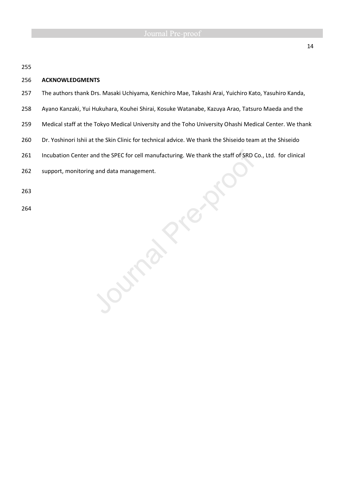## 256 **ACKNOWLEDGMENTS**

- 257 The authors thank Drs. Masaki Uchiyama, Kenichiro Mae, Takashi Arai, Yuichiro Kato, Yasuhiro Kanda,
- 258 Ayano Kanzaki, Yui Hukuhara, Kouhei Shirai, Kosuke Watanabe, Kazuya Arao, Tatsuro Maeda and the
- 259 Medical staff at the Tokyo Medical University and the Toho University Ohashi Medical Center. We thank
- 260 Dr. Yoshinori Ishii at the Skin Clinic for technical advice. We thank the Shiseido team at the Shiseido
- 261 Incubation Center and the SPEC for cell manufacturing. We thank the staff of SRD Co., Ltd. for clinical<br>262 support, monitoring and data management.<br>263
- 262 support, monitoring and data management.

263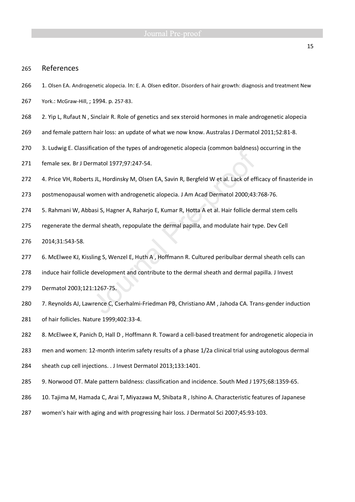## 265 References

266 1. Olsen EA. Androgenetic alopecia. In: E. A. Olsen editor. Disorders of hair growth: diagnosis and treatment New

267 York.: McGraw-Hill, ; 1994. p. 257-83.

- 268 2. Yip L, Rufaut N , Sinclair R. Role of genetics and sex steroid hormones in male androgenetic alopecia
- 269 and female pattern hair loss: an update of what we now know. Australas J Dermatol 2011;52:81-8.
- 270 3. Ludwig E. Classification of the types of androgenetic alopecia (common baldness) occurring in the
- 271 female sex. Br J Dermatol 1977;97:247-54.
- 272 4. Price VH, Roberts JL, Hordinsky M, Olsen EA, Savin R, Bergfeld W et al. Lack of efficacy of finasteride in
- 273 postmenopausal women with androgenetic alopecia. J Am Acad Dermatol 2000;43:768-76.
- 274 5. Rahmani W, Abbasi S, Hagner A, Raharjo E, Kumar R, Hotta A et al. Hair follicle dermal stem cells
- 275 regenerate the dermal sheath, repopulate the dermal papilla, and modulate hair type. Dev Cell
- 276 2014;31:543-58.
- 277 6. McElwee KJ, Kissling S, Wenzel E, Huth A, Hoffmann R. Cultured peribulbar dermal sheath cells can
- 278 induce hair follicle development and contribute to the dermal sheath and dermal papilla. J Invest
- 279 Dermatol 2003;121:1267-75.
- 280 7. Reynolds AJ, Lawrence C, Cserhalmi-Friedman PB, Christiano AM , Jahoda CA. Trans-gender induction 281 of hair follicles. Nature 1999;402:33-4.
- 282 8. McElwee K, Panich D, Hall D , Hoffmann R. Toward a cell-based treatment for androgenetic alopecia in
- 283 men and women: 12-month interim safety results of a phase 1/2a clinical trial using autologous dermal
- 284 sheath cup cell injections. . J Invest Dermatol 2013;133:1401.
- 285 9. Norwood OT. Male pattern baldness: classification and incidence. South Med J 1975;68:1359-65.
- 286 10. Tajima M, Hamada C, Arai T, Miyazawa M, Shibata R , Ishino A. Characteristic features of Japanese
- 287 women's hair with aging and with progressing hair loss. J Dermatol Sci 2007;45:93-103.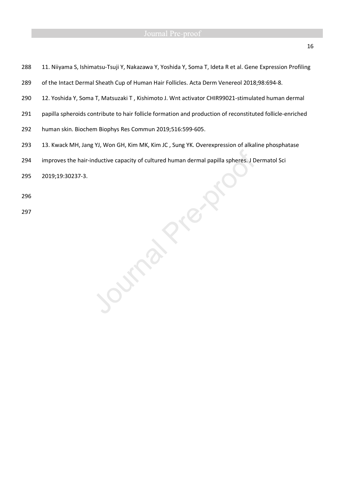- 288 11. Niiyama S, Ishimatsu-Tsuji Y, Nakazawa Y, Yoshida Y, Soma T, Ideta R et al. Gene Expression Profiling
- 289 of the Intact Dermal Sheath Cup of Human Hair Follicles. Acta Derm Venereol 2018;98:694-8.
- 290 12. Yoshida Y, Soma T, Matsuzaki T , Kishimoto J. Wnt activator CHIR99021-stimulated human dermal
- 291 papilla spheroids contribute to hair follicle formation and production of reconstituted follicle-enriched
- 292 human skin. Biochem Biophys Res Commun 2019;516:599-605.

Curry

- 293 13. Kwack MH, Jang YJ, Won GH, Kim MK, Kim JC , Sung YK. Overexpression of alkaline phosphatase
- 294 improves the hair-inductive capacity of cultured human dermal papilla spheres. J Dermatol Sci<br>2019;19:30237-3.<br>296<br>297
- 295 2019;19:30237-3.
- 296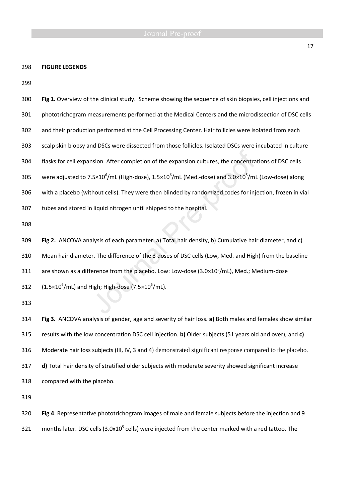## 298 **FIGURE LEGENDS**

| 300 | Fig 1. Overview of the clinical study. Scheme showing the sequence of skin biopsies, cell injections and                           |  |  |  |
|-----|------------------------------------------------------------------------------------------------------------------------------------|--|--|--|
| 301 | phototrichogram measurements performed at the Medical Centers and the microdissection of DSC cells                                 |  |  |  |
| 302 | and their production performed at the Cell Processing Center. Hair follicles were isolated from each                               |  |  |  |
| 303 | scalp skin biopsy and DSCs were dissected from those follicles. Isolated DSCs were incubated in culture                            |  |  |  |
| 304 | flasks for cell expansion. After completion of the expansion cultures, the concentrations of DSC cells                             |  |  |  |
| 305 | were adjusted to 7.5×10 <sup>6</sup> /mL (High-dose), $1.5 \times 10^6$ /mL (Med.-dose) and $3.0 \times 10^5$ /mL (Low-dose) along |  |  |  |
| 306 | with a placebo (without cells). They were then blinded by randomized codes for injection, frozen in vial                           |  |  |  |
| 307 | tubes and stored in liquid nitrogen until shipped to the hospital.                                                                 |  |  |  |
| 308 |                                                                                                                                    |  |  |  |
| 309 | Fig 2. ANCOVA analysis of each parameter. a) Total hair density, b) Cumulative hair diameter, and c)                               |  |  |  |
| 310 | Mean hair diameter. The difference of the 3 doses of DSC cells (Low, Med. and High) from the baseline                              |  |  |  |
| 311 | are shown as a difference from the placebo. Low: Low-dose $(3.0 \times 10^5/\text{mL})$ , Med.; Medium-dose                        |  |  |  |
| 312 | $(1.5\times10^6$ /mL) and High; High-dose (7.5×10 <sup>6</sup> /mL).                                                               |  |  |  |
| 313 |                                                                                                                                    |  |  |  |
| 314 | Fig 3. ANCOVA analysis of gender, age and severity of hair loss. a) Both males and females show similar                            |  |  |  |
| 315 | results with the low concentration DSC cell injection. b) Older subjects (51 years old and over), and c)                           |  |  |  |
| 316 | Moderate hair loss subjects (III, IV, 3 and 4) demonstrated significant response compared to the placebo.                          |  |  |  |
| 317 | d) Total hair density of stratified older subjects with moderate severity showed significant increase                              |  |  |  |
| 318 | compared with the placebo.                                                                                                         |  |  |  |
| 319 |                                                                                                                                    |  |  |  |
| 320 | Fig 4. Representative phototrichogram images of male and female subjects before the injection and 9                                |  |  |  |
| 321 | months later. DSC cells (3.0x10 <sup>5</sup> cells) were injected from the center marked with a red tattoo. The                    |  |  |  |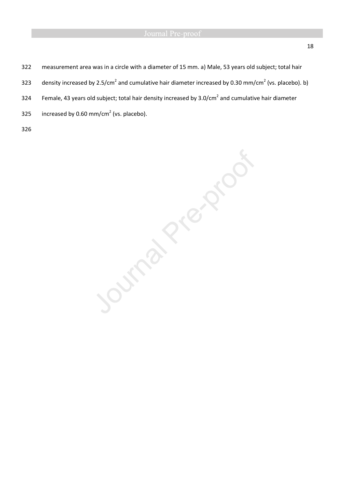- 322 measurement area was in a circle with a diameter of 15 mm. a) Male, 53 years old subject; total hair
- 323 density increased by 2.5/cm<sup>2</sup> and cumulative hair diameter increased by 0.30 mm/cm<sup>2</sup> (vs. placebo). b)
- 324 Female, 43 years old subject; total hair density increased by 3.0/cm<sup>2</sup> and cumulative hair diameter
- 325 increased by 0.60 mm/cm<sup>2</sup> (vs. placebo).
- 326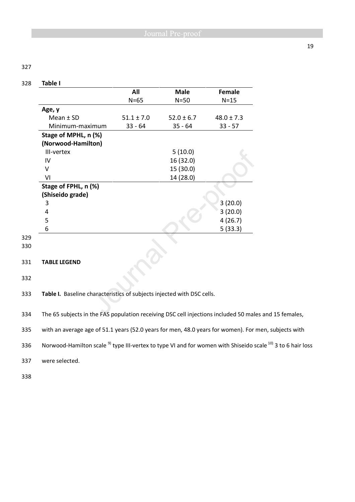## 328 **Table I**

|                      | All<br>$N=65$  | <b>Male</b><br>$N=50$ | Female<br>$N=15$ |
|----------------------|----------------|-----------------------|------------------|
|                      |                |                       |                  |
| Age, y               |                |                       |                  |
| Mean $±$ SD          | $51.1 \pm 7.0$ | $52.0 \pm 6.7$        | $48.0 \pm 7.3$   |
| Minimum-maximum      | $33 - 64$      | $35 - 64$             | $33 - 57$        |
| Stage of MPHL, n (%) |                |                       |                  |
| (Norwood-Hamilton)   |                |                       |                  |
| III-vertex           |                | 5(10.0)               |                  |
| IV                   |                | 16 (32.0)             |                  |
| v                    |                | 15 (30.0)             |                  |
| VI                   |                | 14 (28.0)             |                  |
| Stage of FPHL, n (%) |                |                       |                  |
| (Shiseido grade)     |                |                       |                  |
| 3                    |                |                       | 3(20.0)          |
| 4                    |                |                       | 3(20.0)          |
| 5                    |                |                       | 4(26.7)          |
| 6                    |                |                       | 5(33.3)          |
|                      |                |                       |                  |
|                      |                |                       |                  |
|                      |                |                       |                  |
| <b>TABLE LEGEND</b>  |                |                       |                  |

332

333 **Table I.** Baseline characteristics of subjects injected with DSC cells.

334 The 65 subjects in the FAS population receiving DSC cell injections included 50 males and 15 females,

335 with an average age of 51.1 years (52.0 years for men, 48.0 years for women). For men, subjects with

336 Norwood-Hamilton scale <sup>9)</sup> type III-vertex to type VI and for women with Shiseido scale <sup>10)</sup> 3 to 6 hair loss

337 were selected.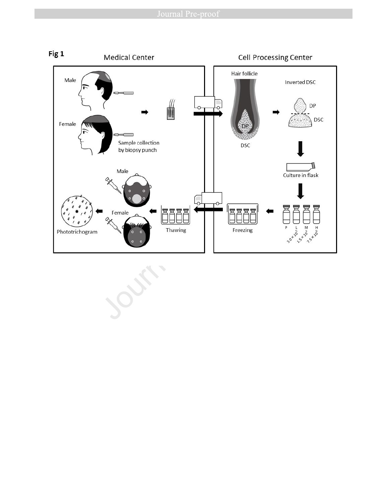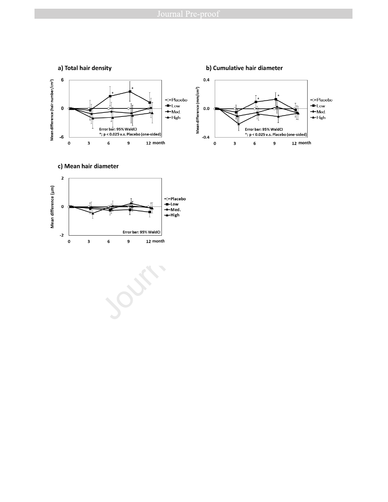





**Port**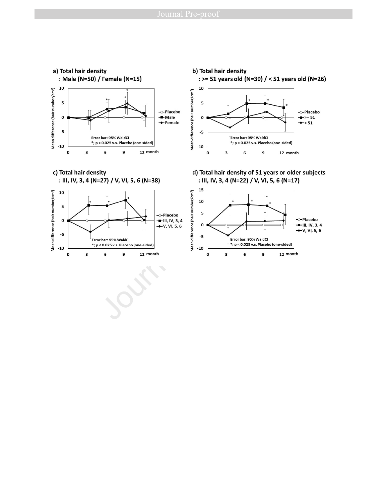